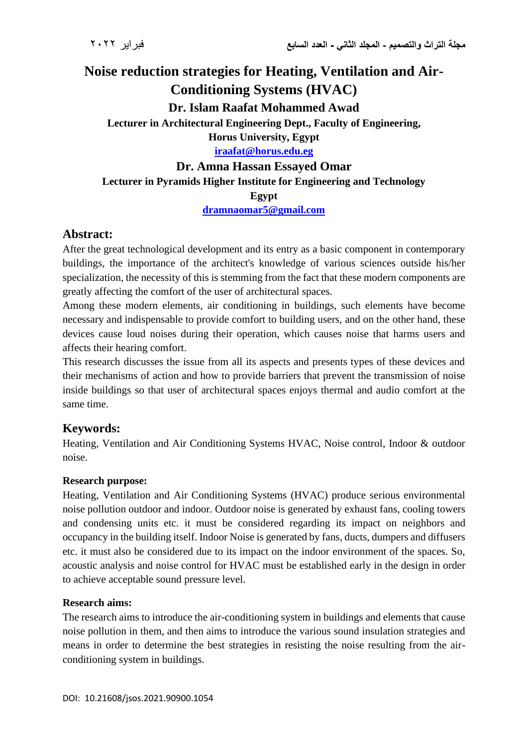# **Noise reduction strategies for Heating, Ventilation and Air-Conditioning Systems (HVAC) Dr. Islam Raafat Mohammed Awad Lecturer in Architectural Engineering Dept., Faculty of Engineering, Horus University, Egypt [iraafat@horus.edu.eg](mailto:iraafat@horus.edu.eg)**

# **Dr. Amna Hassan Essayed Omar**

## **Lecturer in Pyramids Higher Institute for Engineering and Technology**

#### **Egypt**

**[dramnaomar5@gmail.com](mailto:dramnaomar5@gmail.com)**

## **Abstract:**

After the great technological development and its entry as a basic component in contemporary buildings, the importance of the architect's knowledge of various sciences outside his/her specialization, the necessity of this is stemming from the fact that these modern components are greatly affecting the comfort of the user of architectural spaces.

Among these modern elements, air conditioning in buildings, such elements have become necessary and indispensable to provide comfort to building users, and on the other hand, these devices cause loud noises during their operation, which causes noise that harms users and affects their hearing comfort.

This research discusses the issue from all its aspects and presents types of these devices and their mechanisms of action and how to provide barriers that prevent the transmission of noise inside buildings so that user of architectural spaces enjoys thermal and audio comfort at the same time.

# **Keywords:**

Heating, Ventilation and Air Conditioning Systems HVAC, Noise control, Indoor & outdoor noise.

#### **Research purpose:**

Heating, Ventilation and Air Conditioning Systems (HVAC) produce serious environmental noise pollution outdoor and indoor. Outdoor noise is generated by exhaust fans, cooling towers and condensing units etc. it must be considered regarding its impact on neighbors and occupancy in the building itself. Indoor Noise is generated by fans, ducts, dumpers and diffusers etc. it must also be considered due to its impact on the indoor environment of the spaces. So, acoustic analysis and noise control for HVAC must be established early in the design in order to achieve acceptable sound pressure level.

## **Research aims:**

The research aims to introduce the air-conditioning system in buildings and elements that cause noise pollution in them, and then aims to introduce the various sound insulation strategies and means in order to determine the best strategies in resisting the noise resulting from the airconditioning system in buildings.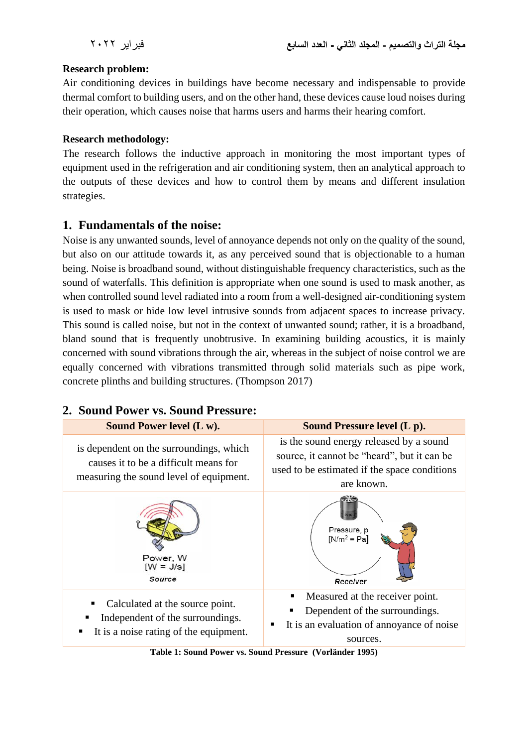## **Research problem:**

Air conditioning devices in buildings have become necessary and indispensable to provide thermal comfort to building users, and on the other hand, these devices cause loud noises during their operation, which causes noise that harms users and harms their hearing comfort.

## **Research methodology:**

The research follows the inductive approach in monitoring the most important types of equipment used in the refrigeration and air conditioning system, then an analytical approach to the outputs of these devices and how to control them by means and different insulation strategies.

## **1. Fundamentals of the noise:**

Noise is any unwanted sounds, level of annoyance depends not only on the quality of the sound, but also on our attitude towards it, as any perceived sound that is objectionable to a human being. Noise is broadband sound, without distinguishable frequency characteristics, such as the sound of waterfalls. This definition is appropriate when one sound is used to mask another, as when controlled sound level radiated into a room from a well-designed air-conditioning system is used to mask or hide low level intrusive sounds from adjacent spaces to increase privacy. This sound is called noise, but not in the context of unwanted sound; rather, it is a broadband, bland sound that is frequently unobtrusive. In examining building acoustics, it is mainly concerned with sound vibrations through the air, whereas in the subject of noise control we are equally concerned with vibrations transmitted through solid materials such as pipe work, concrete plinths and building structures. (Thompson 2017)

# **2. Sound Power vs. Sound Pressure:**



**Table 1: Sound Power vs. Sound Pressure (Vorländer 1995)**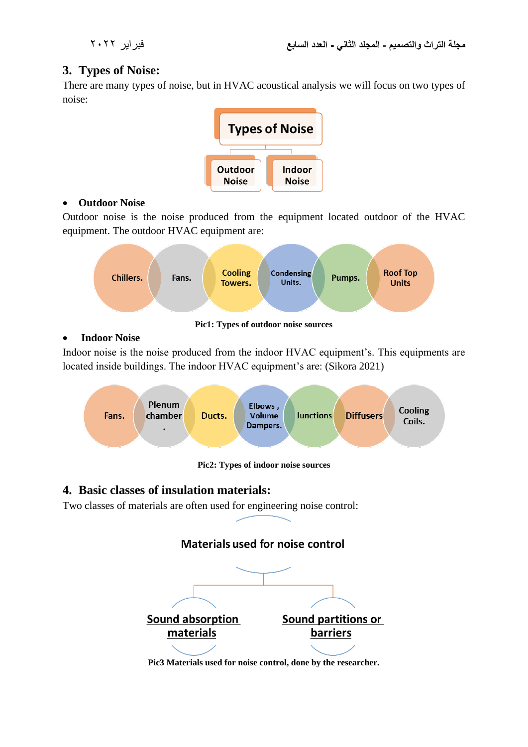# **3. Types of Noise:**

There are many types of noise, but in HVAC acoustical analysis we will focus on two types of noise:



## • **Outdoor Noise**

Outdoor noise is the noise produced from the equipment located outdoor of the HVAC equipment. The outdoor HVAC equipment are:



#### • **Indoor Noise**

Indoor noise is the noise produced from the indoor HVAC equipment's. This equipments are located inside buildings. The indoor HVAC equipment's are: (Sikora 2021)



**Pic2: Types of indoor noise sources**

# **4. Basic classes of insulation materials:**

Two classes of materials are often used for engineering noise control:

# Materials used for noise control



**Pic3 Materials used for noise control, done by the researcher.**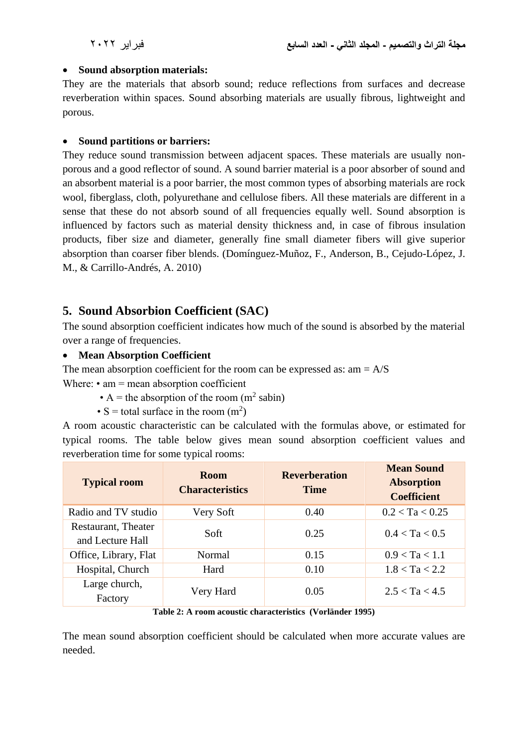#### • **Sound absorption materials:**

They are the materials that absorb sound; reduce reflections from surfaces and decrease reverberation within spaces. Sound absorbing materials are usually fibrous, lightweight and porous.

## • **Sound partitions or barriers:**

They reduce sound transmission between adjacent spaces. These materials are usually nonporous and a good reflector of sound. A sound barrier material is a poor absorber of sound and an absorbent material is a poor barrier, the most common types of absorbing materials are rock wool, fiberglass, cloth, polyurethane and cellulose fibers. All these materials are different in a sense that these do not absorb sound of all frequencies equally well. Sound absorption is influenced by factors such as material density thickness and, in case of fibrous insulation products, fiber size and diameter, generally fine small diameter fibers will give superior absorption than coarser fiber blends. (Domínguez-Muñoz, F., Anderson, B., Cejudo-López, J. M., & Carrillo-Andrés, A. 2010)

# **5. Sound Absorbion Coefficient (SAC)**

The sound absorption coefficient indicates how much of the sound is absorbed by the material over a range of frequencies.

## • **Mean Absorption Coefficient**

The mean absorption coefficient for the room can be expressed as:  $am = A/S$ Where:  $\cdot$  am = mean absorption coefficient

- A = the absorption of the room  $(m^2 \text{ sabin})$
- S = total surface in the room  $(m^2)$

A room acoustic characteristic can be calculated with the formulas above, or estimated for typical rooms. The table below gives mean sound absorption coefficient values and reverberation time for some typical rooms:

| <b>Typical room</b>                     | <b>Room</b><br><b>Characteristics</b> | <b>Reverberation</b><br><b>Time</b> | <b>Mean Sound</b><br><b>Absorption</b><br><b>Coefficient</b> |
|-----------------------------------------|---------------------------------------|-------------------------------------|--------------------------------------------------------------|
| Radio and TV studio                     | Very Soft                             | 0.40                                | 0.2 < Ta < 0.25                                              |
| Restaurant, Theater<br>and Lecture Hall | Soft                                  | 0.25                                | 0.4 < Ta < 0.5                                               |
| Office, Library, Flat                   | Normal                                | 0.15                                | 0.9 < Ta < 1.1                                               |
| Hospital, Church                        | Hard                                  | 0.10                                | 1.8 < Ta < 2.2                                               |
| Large church,<br>Factory                | Very Hard                             | 0.05                                | 2.5 < Ta < 4.5                                               |

**Table 2: A room acoustic characteristics (Vorländer 1995)**

The mean sound absorption coefficient should be calculated when more accurate values are needed.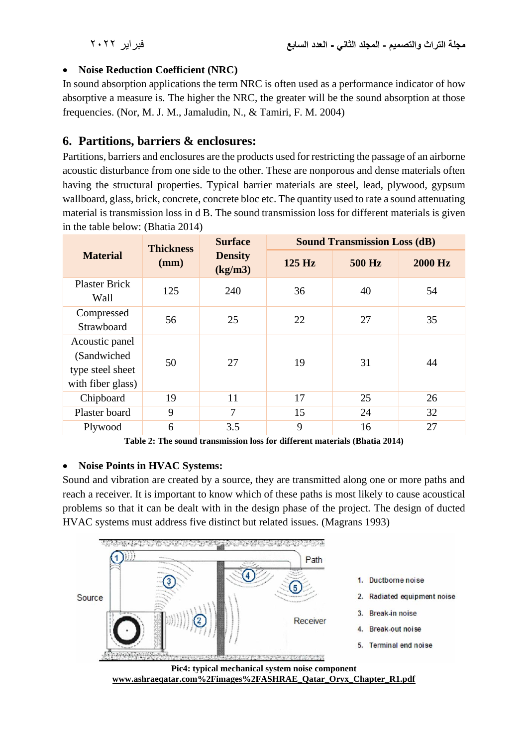## • **Noise Reduction Coefficient (NRC)**

In sound absorption applications the term NRC is often used as a performance indicator of how absorptive a measure is. The higher the NRC, the greater will be the sound absorption at those frequencies. (Nor, M. J. M., Jamaludin, N., & Tamiri, F. M. 2004)

# **6. Partitions, barriers & enclosures:**

Partitions, barriers and enclosures are the products used for restricting the passage of an airborne acoustic disturbance from one side to the other. These are nonporous and dense materials often having the structural properties. Typical barrier materials are steel, lead, plywood, gypsum wallboard, glass, brick, concrete, concrete bloc etc. The quantity used to rate a sound attenuating material is transmission loss in d B. The sound transmission loss for different materials is given in the table below: (Bhatia 2014)

|                                                                         | <b>Thickness</b> | <b>Surface</b>            | <b>Sound Transmission Loss (dB)</b> |               |                |  |
|-------------------------------------------------------------------------|------------------|---------------------------|-------------------------------------|---------------|----------------|--|
| <b>Material</b>                                                         | (mm)             | <b>Density</b><br>(kg/m3) | $125$ Hz                            | <b>500 Hz</b> | <b>2000 Hz</b> |  |
| <b>Plaster Brick</b><br>Wall                                            | 125              | 240                       | 36                                  | 40            | 54             |  |
| Compressed<br>Strawboard                                                | 56               | 25                        | 22                                  | 27            | 35             |  |
| Acoustic panel<br>(Sandwiched)<br>type steel sheet<br>with fiber glass) | 50               | 27                        | 19                                  | 31            | 44             |  |
| Chipboard                                                               | 19               | 11                        | 17                                  | 25            | 26             |  |
| Plaster board                                                           | 9                | 7                         | 15                                  | 24            | 32             |  |
| Plywood                                                                 | 6                | 3.5                       | 9                                   | 16            | 27             |  |

**Table 2: The sound transmission loss for different materials (Bhatia 2014)**

## • **Noise Points in HVAC Systems:**

Sound and vibration are created by a source, they are transmitted along one or more paths and reach a receiver. It is important to know which of these paths is most likely to cause acoustical problems so that it can be dealt with in the design phase of the project. The design of ducted HVAC systems must address five distinct but related issues. (Magrans 1993)



**www.ashraeqatar.com%2Fimages%2FASHRAE\_Qatar\_Oryx\_Chapter\_R1.pdf**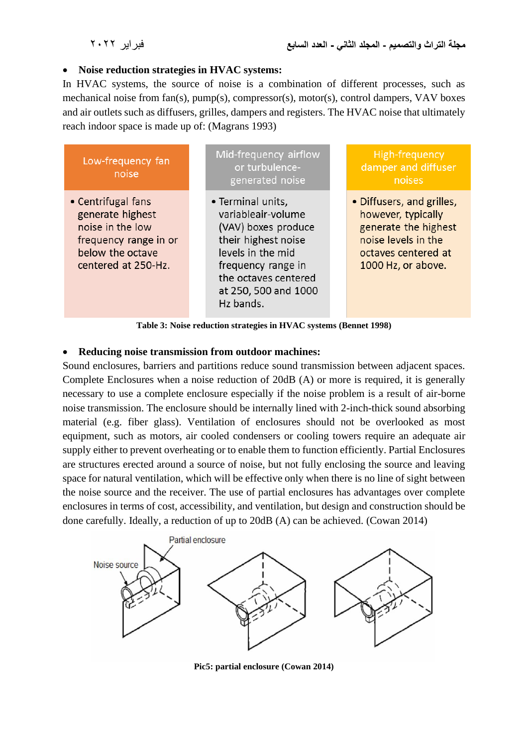#### • **Noise reduction strategies in HVAC systems:**

In HVAC systems, the source of noise is a combination of different processes, such as mechanical noise from fan(s), pump(s), compressor(s), motor(s), control dampers, VAV boxes and air outlets such as diffusers, grilles, dampers and registers. The HVAC noise that ultimately reach indoor space is made up of: (Magrans 1993)



#### • **Reducing noise transmission from outdoor machines:**

Sound enclosures, barriers and partitions reduce sound transmission between adjacent spaces. Complete Enclosures when a noise reduction of 20dB (A) or more is required, it is generally necessary to use a complete enclosure especially if the noise problem is a result of air-borne noise transmission. The enclosure should be internally lined with 2-inch-thick sound absorbing material (e.g. fiber glass). Ventilation of enclosures should not be overlooked as most equipment, such as motors, air cooled condensers or cooling towers require an adequate air supply either to prevent overheating or to enable them to function efficiently. Partial Enclosures are structures erected around a source of noise, but not fully enclosing the source and leaving space for natural ventilation, which will be effective only when there is no line of sight between the noise source and the receiver. The use of partial enclosures has advantages over complete enclosures in terms of cost, accessibility, and ventilation, but design and construction should be done carefully. Ideally, a reduction of up to 20dB (A) can be achieved. (Cowan 2014)



**Pic5: partial enclosure (Cowan 2014)**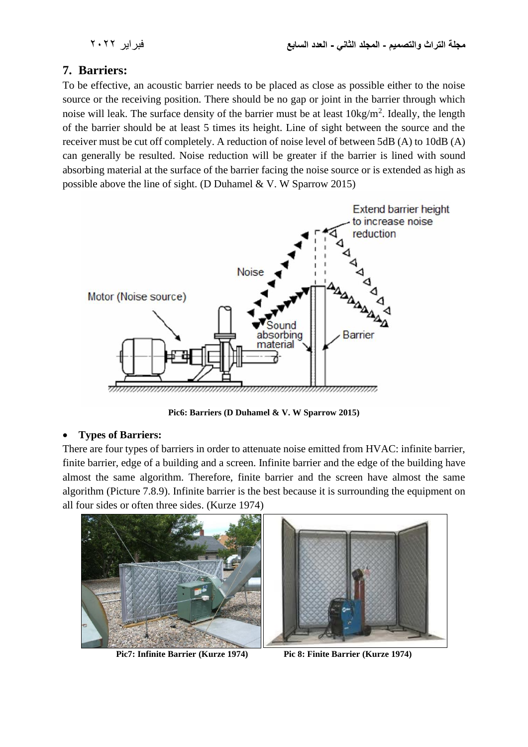# **7. Barriers:**

To be effective, an acoustic barrier needs to be placed as close as possible either to the noise source or the receiving position. There should be no gap or joint in the barrier through which noise will leak. The surface density of the barrier must be at least  $10\text{kg/m}^2$ . Ideally, the length of the barrier should be at least 5 times its height. Line of sight between the source and the receiver must be cut off completely. A reduction of noise level of between 5dB (A) to 10dB (A) can generally be resulted. Noise reduction will be greater if the barrier is lined with sound absorbing material at the surface of the barrier facing the noise source or is extended as high as possible above the line of sight. (D Duhamel & V. W Sparrow 2015)



**Pic6: Barriers (D Duhamel & V. W Sparrow 2015)**

## • **Types of Barriers:**

There are four types of barriers in order to attenuate noise emitted from HVAC: infinite barrier, finite barrier, edge of a building and a screen. Infinite barrier and the edge of the building have almost the same algorithm. Therefore, finite barrier and the screen have almost the same algorithm (Picture 7.8.9). Infinite barrier is the best because it is surrounding the equipment on all four sides or often three sides. (Kurze 1974)



**Pic7: Infinite Barrier (Kurze 1974) Pic 8: Finite Barrier (Kurze 1974)**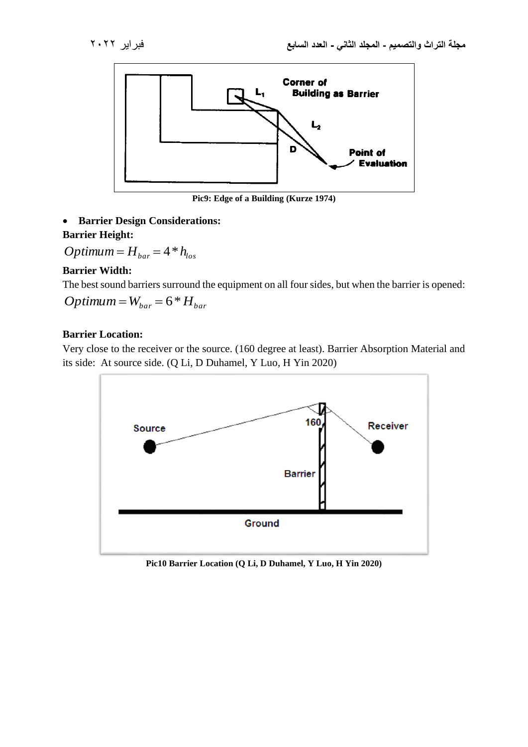

**Pic9: Edge of a Building (Kurze 1974)**

• **Barrier Design Considerations: Barrier Height:**

 $Optimum = H_{bar} = 4 * h_{los}$ 

#### **Barrier Width:**

The best sound barriers surround the equipment on all four sides, but when the barrier is opened:

$$
Optimum = W_{bar} = 6*H_{bar}
$$

#### **Barrier Location:**

Very close to the receiver or the source. (160 degree at least). Barrier Absorption Material and its side: At source side. (Q Li, D Duhamel, Y Luo, H Yin 2020)



**Pic10 Barrier Location (Q Li, D Duhamel, Y Luo, H Yin 2020)**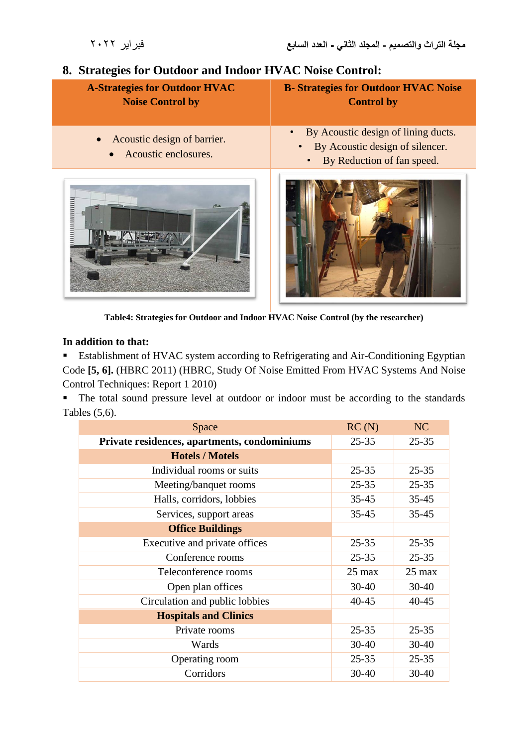# 8. **Strategies for Outdoor and Indoor HVAC Noise Control:**

| <b>A-Strategies for Outdoor HVAC</b><br><b>Noise Control by</b> | <b>B-Strategies for Outdoor HVAC Noise</b><br><b>Control by</b>                                                                |
|-----------------------------------------------------------------|--------------------------------------------------------------------------------------------------------------------------------|
| Acoustic design of barrier.<br>Acoustic enclosures.             | By Acoustic design of lining ducts.<br>$\bullet$<br>By Acoustic design of silencer.<br>By Reduction of fan speed.<br>$\bullet$ |
| 19.8                                                            |                                                                                                                                |

**Table4: Strategies for Outdoor and Indoor HVAC Noise Control (by the researcher)**

## **In addition to that:**

■ Establishment of HVAC system according to Refrigerating and Air-Conditioning Egyptian Code **[5, 6].** (HBRC 2011) (HBRC, Study Of Noise Emitted From HVAC Systems And Noise Control Techniques: Report 1 2010)

■ The total sound pressure level at outdoor or indoor must be according to the standards Tables (5,6).

| Space                                        | RC(N)            | NC               |
|----------------------------------------------|------------------|------------------|
| Private residences, apartments, condominiums | $25 - 35$        | $25 - 35$        |
| <b>Hotels / Motels</b>                       |                  |                  |
| Individual rooms or suits                    | $25 - 35$        | $25 - 35$        |
| Meeting/banquet rooms                        | $25 - 35$        | $25 - 35$        |
| Halls, corridors, lobbies                    | $35 - 45$        | $35 - 45$        |
| Services, support areas                      | $35 - 45$        | $35 - 45$        |
| <b>Office Buildings</b>                      |                  |                  |
| Executive and private offices                | $25 - 35$        | $25 - 35$        |
| Conference rooms                             | $25 - 35$        | $25 - 35$        |
| Teleconference rooms                         | $25 \text{ max}$ | $25 \text{ max}$ |
| Open plan offices                            | $30 - 40$        | $30 - 40$        |
| Circulation and public lobbies               | $40 - 45$        | $40 - 45$        |
| <b>Hospitals and Clinics</b>                 |                  |                  |
| Private rooms                                | $25 - 35$        | $25 - 35$        |
| Wards                                        | $30 - 40$        | $30 - 40$        |
| Operating room                               | $25 - 35$        | $25 - 35$        |
| Corridors                                    | $30 - 40$        | $30 - 40$        |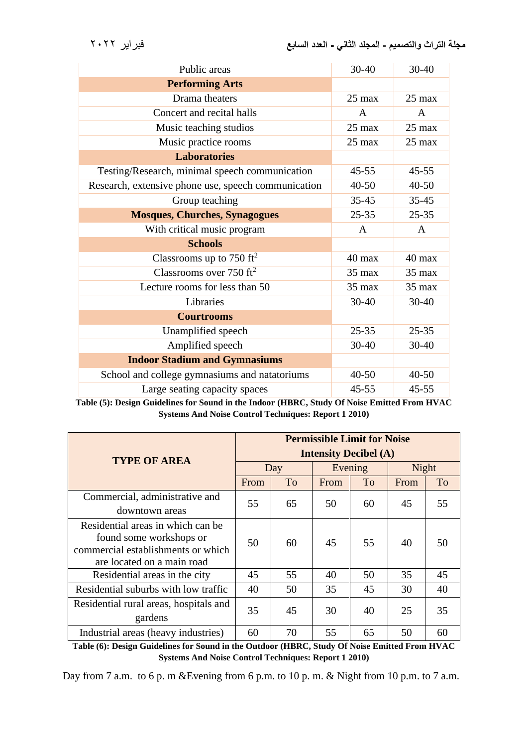| Public areas                                        | $30 - 40$        | $30 - 40$        |
|-----------------------------------------------------|------------------|------------------|
| <b>Performing Arts</b>                              |                  |                  |
| Drama theaters                                      | $25 \text{ max}$ | $25 \text{ max}$ |
| Concert and recital halls                           | A                | A                |
| Music teaching studios                              | $25 \text{ max}$ | $25 \text{ max}$ |
| Music practice rooms                                | $25 \text{ max}$ | $25 \text{ max}$ |
| <b>Laboratories</b>                                 |                  |                  |
| Testing/Research, minimal speech communication      | $45 - 55$        | $45 - 55$        |
| Research, extensive phone use, speech communication | $40 - 50$        | $40 - 50$        |
| Group teaching                                      | $35 - 45$        | $35 - 45$        |
| <b>Mosques, Churches, Synagogues</b>                | $25 - 35$        | $25 - 35$        |
| With critical music program                         | A                | A                |
| <b>Schools</b>                                      |                  |                  |
| Classrooms up to 750 ft <sup>2</sup>                | $40 \text{ max}$ | $40 \text{ max}$ |
| Classrooms over 750 $ft^2$                          | $35 \text{ max}$ | $35 \text{ max}$ |
| Lecture rooms for less than 50                      | $35 \text{ max}$ | $35 \text{ max}$ |
| Libraries                                           | 30-40            | 30-40            |
| <b>Courtrooms</b>                                   |                  |                  |
| Unamplified speech                                  | $25 - 35$        | $25 - 35$        |
| Amplified speech                                    | $30 - 40$        | $30 - 40$        |
| <b>Indoor Stadium and Gymnasiums</b>                |                  |                  |
| School and college gymnasiums and natatoriums       | $40 - 50$        | $40 - 50$        |
| Large seating capacity spaces                       | $45 - 55$        | $45 - 55$        |

**Table (5): Design Guidelines for Sound in the Indoor (HBRC, Study Of Noise Emitted From HVAC Systems And Noise Control Techniques: Report 1 2010)**

|                                        | <b>Permissible Limit for Noise</b> |    |         |           |                        |    |
|----------------------------------------|------------------------------------|----|---------|-----------|------------------------|----|
| <b>TYPE OF AREA</b>                    | <b>Intensity Decibel (A)</b>       |    |         |           |                        |    |
|                                        | Day                                |    | Evening |           | Night                  |    |
|                                        | From                               | To | From    | <b>To</b> | From<br>45<br>40<br>35 | To |
| Commercial, administrative and         | 55                                 | 65 | 50      | 60        |                        | 55 |
| downtown areas                         |                                    |    |         |           |                        |    |
| Residential areas in which can be      |                                    | 60 | 45      | 55        |                        | 50 |
| found some workshops or                | 50                                 |    |         |           |                        |    |
| commercial establishments or which     |                                    |    |         |           |                        |    |
| are located on a main road             |                                    |    |         |           |                        |    |
| Residential areas in the city          | 45                                 | 55 | 40      | 50        |                        | 45 |
| Residential suburbs with low traffic   | 40                                 | 50 | 35      | 45        | 30                     | 40 |
| Residential rural areas, hospitals and | 35                                 | 45 | 30      | 40        | 25                     | 35 |
| gardens                                |                                    |    |         |           |                        |    |
| Industrial areas (heavy industries)    | 60                                 | 70 | 55      | 65        | 50                     | 60 |

**Table (6): Design Guidelines for Sound in the Outdoor (HBRC, Study Of Noise Emitted From HVAC Systems And Noise Control Techniques: Report 1 2010)**

Day from 7 a.m. to 6 p. m &Evening from 6 p.m. to 10 p.m. & Night from 10 p.m. to 7 a.m.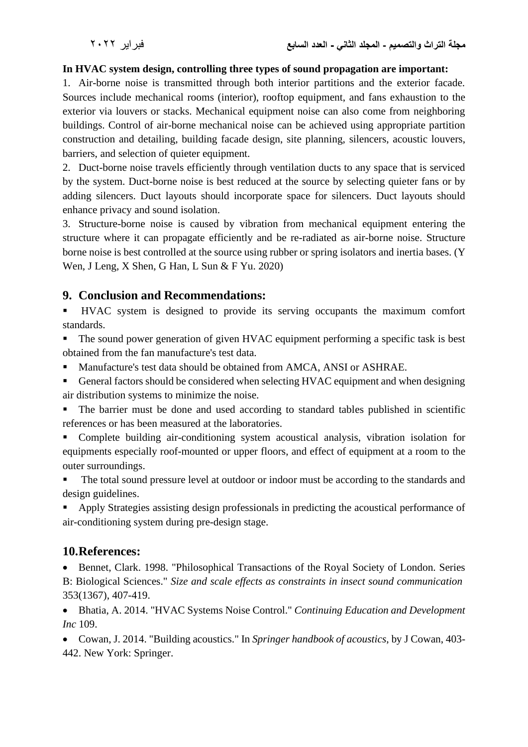## **In HVAC system design, controlling three types of sound propagation are important:**

1. Air-borne noise is transmitted through both interior partitions and the exterior facade. Sources include mechanical rooms (interior), rooftop equipment, and fans exhaustion to the exterior via louvers or stacks. Mechanical equipment noise can also come from neighboring buildings. Control of air-borne mechanical noise can be achieved using appropriate partition construction and detailing, building facade design, site planning, silencers, acoustic louvers, barriers, and selection of quieter equipment.

2. Duct-borne noise travels efficiently through ventilation ducts to any space that is serviced by the system. Duct-borne noise is best reduced at the source by selecting quieter fans or by adding silencers. Duct layouts should incorporate space for silencers. Duct layouts should enhance privacy and sound isolation.

3. Structure-borne noise is caused by vibration from mechanical equipment entering the structure where it can propagate efficiently and be re-radiated as air-borne noise. Structure borne noise is best controlled at the source using rubber or spring isolators and inertia bases. (Y Wen, J Leng, X Shen, G Han, L Sun & F Yu. 2020)

# **9. Conclusion and Recommendations:**

▪ HVAC system is designed to provide its serving occupants the maximum comfort standards.

The sound power generation of given HVAC equipment performing a specific task is best obtained from the fan manufacture's test data.

- Manufacture's test data should be obtained from AMCA, ANSI or ASHRAE.
- General factors should be considered when selecting HVAC equipment and when designing air distribution systems to minimize the noise.

■ The barrier must be done and used according to standard tables published in scientific references or has been measured at the laboratories.

Complete building air-conditioning system acoustical analysis, vibration isolation for equipments especially roof-mounted or upper floors, and effect of equipment at a room to the outer surroundings.

The total sound pressure level at outdoor or indoor must be according to the standards and design guidelines.

Apply Strategies assisting design professionals in predicting the acoustical performance of air-conditioning system during pre-design stage.

# **10.References:**

• Bennet, Clark. 1998. "Philosophical Transactions of the Royal Society of London. Series B: Biological Sciences." *Size and scale effects as constraints in insect sound communication* 353(1367), 407-419.

• Bhatia, A. 2014. "HVAC Systems Noise Control." *Continuing Education and Development Inc* 109.

• Cowan, J. 2014. "Building acoustics." In *Springer handbook of acoustics*, by J Cowan, 403- 442. New York: Springer.